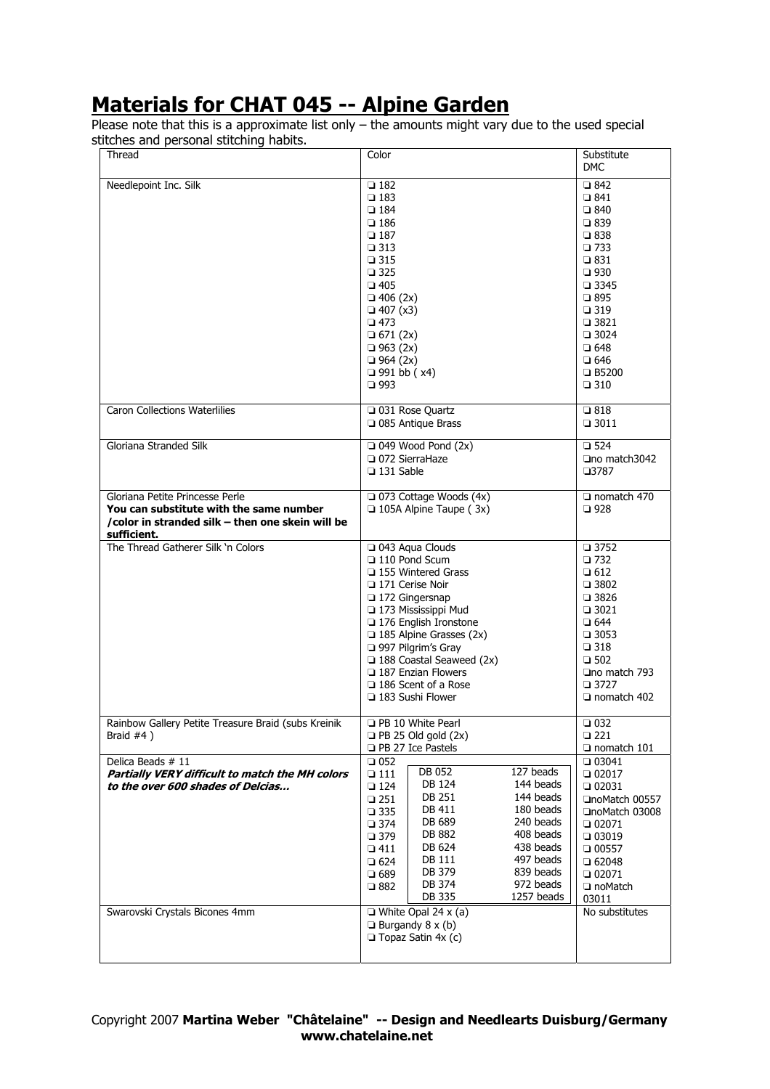## **Materials for CHAT 045 -- Alpine Garden**

Please note that this is a approximate list only – the amounts might vary due to the used special stitches and personal stitching habits.

| Thread                                                                                                                                        | Color                                                                                                                                                                                                                                                                                                                                                                                                                                                                               | Substitute<br><b>DMC</b>                                                                                                                                                                                                                                                                |
|-----------------------------------------------------------------------------------------------------------------------------------------------|-------------------------------------------------------------------------------------------------------------------------------------------------------------------------------------------------------------------------------------------------------------------------------------------------------------------------------------------------------------------------------------------------------------------------------------------------------------------------------------|-----------------------------------------------------------------------------------------------------------------------------------------------------------------------------------------------------------------------------------------------------------------------------------------|
| Needlepoint Inc. Silk                                                                                                                         | $\square$ 182<br>$\square$ 183<br>$\square$ 184<br>$\square$ 186<br>$\square$ 187<br>$\square$ 313<br>$\square$ 315<br>$\square$ 325<br>$\square$ 405<br>$\Box$ 406 (2x)<br>$\Box$ 407 (x3)<br>$\square$ 473<br>$\Box$ 671 (2x)<br>$\Box$ 963 (2x)<br>$\Box$ 964 (2x)<br>$\Box$ 991 bb (x4)<br>$\square$ 993                                                                                                                                                                        | $\square$ 842<br>$\square$ 841<br>$\square$ 840<br>$\square$ 839<br>$\square$ 838<br>$\square$ 733<br>$\square$ 831<br>$\square$ 930<br>$\square$ 3345<br>$\square$ 895<br>$\square$ 319<br>$\square$ 3821<br>$\Box$ 3024<br>$\square$ 648<br>$\square$ 646<br>□ B5200<br>$\square$ 310 |
| <b>Caron Collections Waterlilies</b>                                                                                                          | □ 031 Rose Quartz<br>□ 085 Antique Brass                                                                                                                                                                                                                                                                                                                                                                                                                                            | $\square$ 818<br>$\Box$ 3011                                                                                                                                                                                                                                                            |
| Gloriana Stranded Silk                                                                                                                        | $\Box$ 049 Wood Pond (2x)<br>□ 072 SierraHaze<br>$\Box$ 131 Sable                                                                                                                                                                                                                                                                                                                                                                                                                   | $\square$ 524<br>□no match3042<br>$\square$ 3787                                                                                                                                                                                                                                        |
| Gloriana Petite Princesse Perle<br>You can substitute with the same number<br>/color in stranded silk - then one skein will be<br>sufficient. | □ 073 Cottage Woods (4x)<br>$\Box$ 105A Alpine Taupe (3x)                                                                                                                                                                                                                                                                                                                                                                                                                           | $\Box$ nomatch 470<br>$\square$ 928                                                                                                                                                                                                                                                     |
| The Thread Gatherer Silk 'n Colors                                                                                                            | □ 043 Aqua Clouds<br>$\Box$ 110 Pond Scum<br>□ 155 Wintered Grass<br>171 Cerise Noir<br>□ 172 Gingersnap<br>173 Mississippi Mud<br>176 English Ironstone<br>$\Box$ 185 Alpine Grasses (2x)<br>997 Pilgrim's Gray<br>$\Box$ 188 Coastal Seaweed (2x)<br>$\Box$ 187 Enzian Flowers<br>$\Box$ 186 Scent of a Rose<br>$\Box$ 183 Sushi Flower                                                                                                                                           | $\Box$ 3752<br>$\square$ 732<br>$\square$ 612<br>$\Box$ 3802<br>$\square$ 3826<br>$\square$ 3021<br>$\square$ 644<br>$\Box$ 3053<br>$\square$ 318<br>$\square$ 502<br>$\Box$ no match 793<br>$\Box$ 3727<br>$\Box$ nomatch 402                                                          |
| Rainbow Gallery Petite Treasure Braid (subs Kreinik<br>Braid $#4$ )                                                                           | <b>D</b> PB 10 White Pearl<br>$\Box$ PB 25 Old gold (2x)<br><b>D</b> PB 27 Ice Pastels                                                                                                                                                                                                                                                                                                                                                                                              | $\square$ 032<br>$\square$ 221<br>$\Box$ nomatch 101                                                                                                                                                                                                                                    |
| Delica Beads # 11<br>Partially VERY difficult to match the MH colors<br>to the over 600 shades of Delcias<br>Swarovski Crystals Bicones 4mm   | $\square$ 052<br>127 beads<br>DB 052<br>$\square$ 111<br>DB 124<br>144 beads<br>$\square$ 124<br>DB 251<br>144 beads<br>$\square$ 251<br>DB 411<br>180 beads<br>$\square$ 335<br>DB 689<br>240 beads<br>$\square$ 374<br>DB 882<br>408 beads<br>$\square$ 379<br>DB 624<br>438 beads<br>$\square$ 411<br>DB 111<br>497 beads<br>$\square$ 624<br>DB 379<br>839 beads<br>$\square$ 689<br>DB 374<br>972 beads<br>$\square$ 882<br>DB 335<br>1257 beads<br>$\Box$ White Opal 24 x (a) | $\Box$ 03041<br>$\Box 02017$<br>$\Box$ 02031<br>□noMatch 00557<br>□noMatch 03008<br>$\n  02071\n$<br>$\Box$ 03019<br>$\Box$ 00557<br>$\Box$ 62048<br>$\Box$ 02071<br>noMatch<br>03011<br>No substitutes                                                                                 |
|                                                                                                                                               | $\Box$ Burgandy 8 x (b)<br>$\Box$ Topaz Satin 4x (c)                                                                                                                                                                                                                                                                                                                                                                                                                                |                                                                                                                                                                                                                                                                                         |